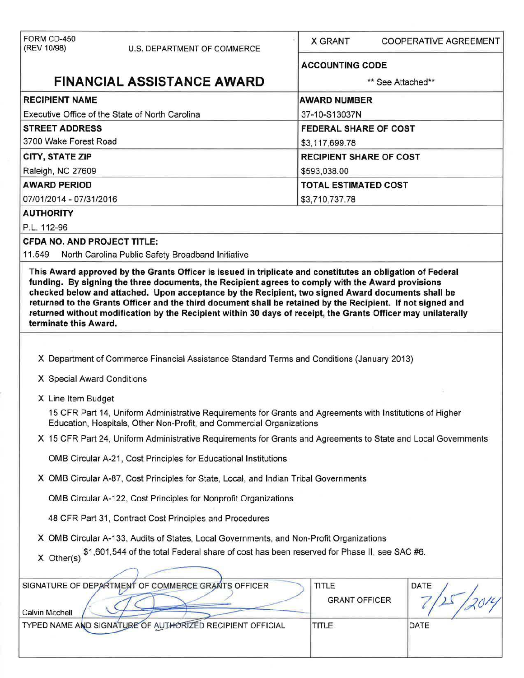| FORM CD-450                                                                          |                                                                                                                                                                                   | X GRANT                        | <b>COOPERATIVE AGREEMENT</b> |  |  |  |
|--------------------------------------------------------------------------------------|-----------------------------------------------------------------------------------------------------------------------------------------------------------------------------------|--------------------------------|------------------------------|--|--|--|
| (REV 10/98)                                                                          | U.S. DEPARTMENT OF COMMERCE                                                                                                                                                       |                                |                              |  |  |  |
|                                                                                      |                                                                                                                                                                                   | <b>ACCOUNTING CODE</b>         |                              |  |  |  |
|                                                                                      | <b>FINANCIAL ASSISTANCE AWARD</b>                                                                                                                                                 |                                | ** See Attached**            |  |  |  |
| <b>RECIPIENT NAME</b>                                                                |                                                                                                                                                                                   | <b>AWARD NUMBER</b>            |                              |  |  |  |
| Executive Office of the State of North Carolina                                      |                                                                                                                                                                                   | 37-10-S13037N                  |                              |  |  |  |
| <b>STREET ADDRESS</b>                                                                |                                                                                                                                                                                   | <b>FEDERAL SHARE OF COST</b>   |                              |  |  |  |
| 3700 Wake Forest Road                                                                |                                                                                                                                                                                   | \$3,117,699.78                 |                              |  |  |  |
| <b>CITY, STATE ZIP</b>                                                               |                                                                                                                                                                                   | <b>RECIPIENT SHARE OF COST</b> |                              |  |  |  |
| Raleigh, NC 27609                                                                    |                                                                                                                                                                                   | \$593,038.00                   |                              |  |  |  |
| <b>AWARD PERIOD</b>                                                                  |                                                                                                                                                                                   |                                | <b>TOTAL ESTIMATED COST</b>  |  |  |  |
| 07/01/2014 - 07/31/2016                                                              |                                                                                                                                                                                   | \$3,710,737.78                 |                              |  |  |  |
| <b>AUTHORITY</b>                                                                     |                                                                                                                                                                                   |                                |                              |  |  |  |
| P.L. 112-96                                                                          |                                                                                                                                                                                   |                                |                              |  |  |  |
| <b>CFDA NO. AND PROJECT TITLE:</b>                                                   |                                                                                                                                                                                   |                                |                              |  |  |  |
| 11.549                                                                               | North Carolina Public Safety Broadband Initiative                                                                                                                                 |                                |                              |  |  |  |
|                                                                                      |                                                                                                                                                                                   |                                |                              |  |  |  |
|                                                                                      | X Department of Commerce Financial Assistance Standard Terms and Conditions (January 2013)                                                                                        |                                |                              |  |  |  |
| X Special Award Conditions                                                           |                                                                                                                                                                                   |                                |                              |  |  |  |
| X Line Item Budget                                                                   |                                                                                                                                                                                   |                                |                              |  |  |  |
|                                                                                      | 15 CFR Part 14, Uniform Administrative Requirements for Grants and Agreements with Institutions of Higher<br>Education, Hospitals, Other Non-Profit, and Commercial Organizations |                                |                              |  |  |  |
|                                                                                      | X 15 CFR Part 24, Uniform Administrative Requirements for Grants and Agreements to State and Local Governments                                                                    |                                |                              |  |  |  |
| OMB Circular A-21, Cost Principles for Educational Institutions                      |                                                                                                                                                                                   |                                |                              |  |  |  |
| X OMB Circular A-87, Cost Principles for State, Local, and Indian Tribal Governments |                                                                                                                                                                                   |                                |                              |  |  |  |
| OMB Circular A-122, Cost Principles for Nonprofit Organizations                      |                                                                                                                                                                                   |                                |                              |  |  |  |
|                                                                                      | 48 CFR Part 31, Contract Cost Principles and Procedures                                                                                                                           |                                |                              |  |  |  |
|                                                                                      | X OMB Circular A-133, Audits of States, Local Governments, and Non-Profit Organizations                                                                                           |                                |                              |  |  |  |
| $X$ Other(s)                                                                         | \$1,601,544 of the total Federal share of cost has been reserved for Phase II, see SAC #6.                                                                                        |                                |                              |  |  |  |
|                                                                                      |                                                                                                                                                                                   |                                |                              |  |  |  |
|                                                                                      | SIGNATURE OF DEPARTMENT OF COMMERCE GRANTS OFFICER                                                                                                                                | TITLE<br><b>GRANT OFFICER</b>  | DATE                         |  |  |  |
| <b>Calvin Mitchell</b>                                                               | TYPED NAME AND SIGNATURE OF AUTHORIZED RECIPIENT OFFICIAL                                                                                                                         | <b>TITLE</b>                   | DATE                         |  |  |  |
|                                                                                      |                                                                                                                                                                                   |                                |                              |  |  |  |